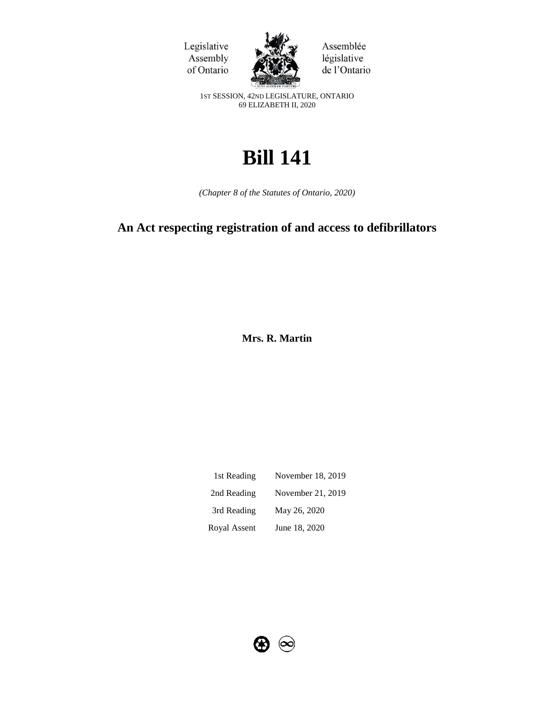



Assemblée législative de l'Ontario

1ST SESSION, 42ND LEGISLATURE, ONTARIO 69 ELIZABETH II, 2020

# **Bill 141**

*(Chapter 8 of the Statutes of Ontario, 2020)*

## **An Act respecting registration of and access to defibrillators**

**Mrs. R. Martin** 

| 1st Reading  | November 18, 2019 |
|--------------|-------------------|
| 2nd Reading  | November 21, 2019 |
| 3rd Reading  | May 26, 2020      |
| Royal Assent | June 18, 2020     |

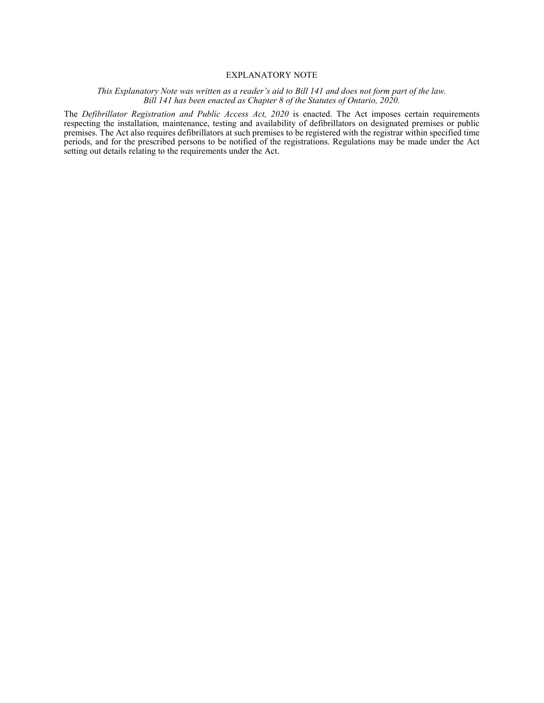#### EXPLANATORY NOTE

#### *This Explanatory Note was written as a reader's aid to Bill 141 and does not form part of the law. Bill 141 has been enacted as Chapter 8 of the Statutes of Ontario, 2020.*

The *Defibrillator Registration and Public Access Act, 2020* is enacted. The Act imposes certain requirements respecting the installation, maintenance, testing and availability of defibrillators on designated premises or public premises. The Act also requires defibrillators at such premises to be registered with the registrar within specified time periods, and for the prescribed persons to be notified of the registrations. Regulations may be made under the Act setting out details relating to the requirements under the Act.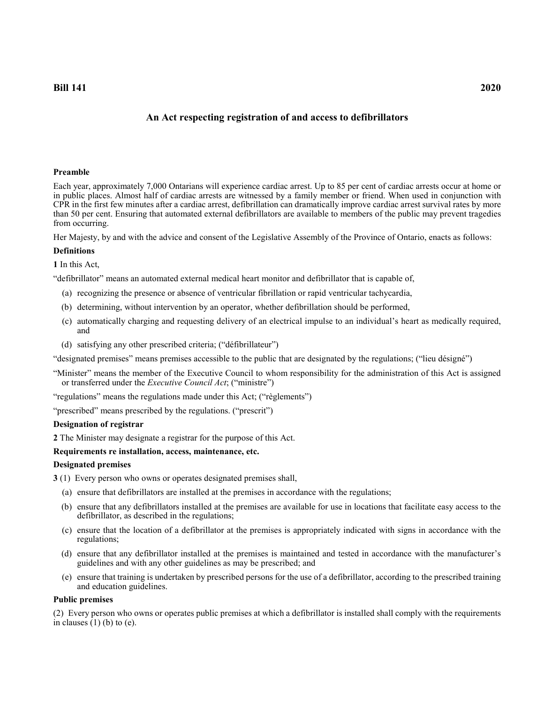### **An Act respecting registration of and access to defibrillators**

#### **Preamble**

Each year, approximately 7,000 Ontarians will experience cardiac arrest. Up to 85 per cent of cardiac arrests occur at home or in public places. Almost half of cardiac arrests are witnessed by a family member or friend. When used in conjunction with CPR in the first few minutes after a cardiac arrest, defibrillation can dramatically improve cardiac arrest survival rates by more than 50 per cent. Ensuring that automated external defibrillators are available to members of the public may prevent tragedies from occurring.

Her Majesty, by and with the advice and consent of the Legislative Assembly of the Province of Ontario, enacts as follows:

#### **Definitions**

**1** In this Act,

"defibrillator" means an automated external medical heart monitor and defibrillator that is capable of,

- (a) recognizing the presence or absence of ventricular fibrillation or rapid ventricular tachycardia,
- (b) determining, without intervention by an operator, whether defibrillation should be performed,
- (c) automatically charging and requesting delivery of an electrical impulse to an individual's heart as medically required, and
- (d) satisfying any other prescribed criteria; ("défibrillateur")

"designated premises" means premises accessible to the public that are designated by the regulations; ("lieu désigné")

"Minister" means the member of the Executive Council to whom responsibility for the administration of this Act is assigned or transferred under the *Executive Council Act*; ("ministre")

"regulations" means the regulations made under this Act; ("règlements")

"prescribed" means prescribed by the regulations. ("prescrit")

#### **Designation of registrar**

**2** The Minister may designate a registrar for the purpose of this Act.

#### **Requirements re installation, access, maintenance, etc.**

#### **Designated premises**

**3** (1) Every person who owns or operates designated premises shall,

- (a) ensure that defibrillators are installed at the premises in accordance with the regulations;
- (b) ensure that any defibrillators installed at the premises are available for use in locations that facilitate easy access to the defibrillator, as described in the regulations;
- (c) ensure that the location of a defibrillator at the premises is appropriately indicated with signs in accordance with the regulations;
- (d) ensure that any defibrillator installed at the premises is maintained and tested in accordance with the manufacturer's guidelines and with any other guidelines as may be prescribed; and
- (e) ensure that training is undertaken by prescribed persons for the use of a defibrillator, according to the prescribed training and education guidelines.

#### **Public premises**

(2) Every person who owns or operates public premises at which a defibrillator is installed shall comply with the requirements in clauses  $(1)$  (b) to (e).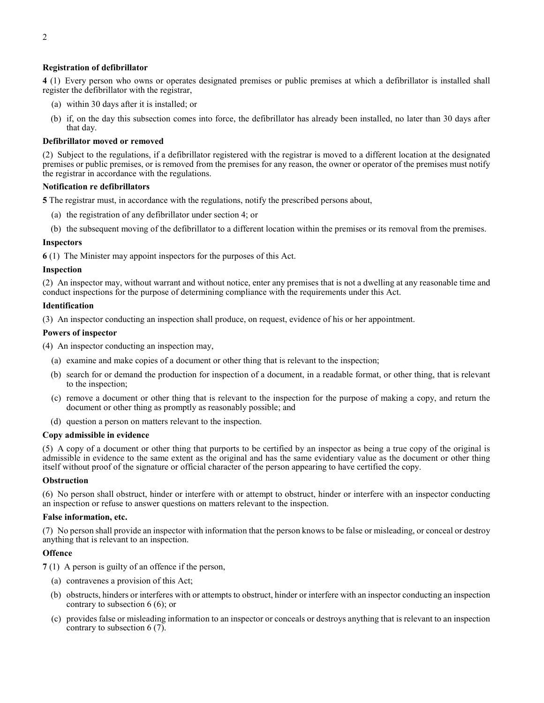#### **Registration of defibrillator**

**4** (1) Every person who owns or operates designated premises or public premises at which a defibrillator is installed shall register the defibrillator with the registrar,

- (a) within 30 days after it is installed; or
- (b) if, on the day this subsection comes into force, the defibrillator has already been installed, no later than 30 days after that day.

#### **Defibrillator moved or removed**

(2) Subject to the regulations, if a defibrillator registered with the registrar is moved to a different location at the designated premises or public premises, or is removed from the premises for any reason, the owner or operator of the premises must notify the registrar in accordance with the regulations.

#### **Notification re defibrillators**

**5** The registrar must, in accordance with the regulations, notify the prescribed persons about,

- (a) the registration of any defibrillator under section 4; or
- (b) the subsequent moving of the defibrillator to a different location within the premises or its removal from the premises.

#### **Inspectors**

**6** (1) The Minister may appoint inspectors for the purposes of this Act.

#### **Inspection**

(2) An inspector may, without warrant and without notice, enter any premises that is not a dwelling at any reasonable time and conduct inspections for the purpose of determining compliance with the requirements under this Act.

#### **Identification**

(3) An inspector conducting an inspection shall produce, on request, evidence of his or her appointment.

#### **Powers of inspector**

- (4) An inspector conducting an inspection may,
	- (a) examine and make copies of a document or other thing that is relevant to the inspection;
	- (b) search for or demand the production for inspection of a document, in a readable format, or other thing, that is relevant to the inspection;
	- (c) remove a document or other thing that is relevant to the inspection for the purpose of making a copy, and return the document or other thing as promptly as reasonably possible; and
	- (d) question a person on matters relevant to the inspection.

#### **Copy admissible in evidence**

(5) A copy of a document or other thing that purports to be certified by an inspector as being a true copy of the original is admissible in evidence to the same extent as the original and has the same evidentiary value as the document or other thing itself without proof of the signature or official character of the person appearing to have certified the copy.

#### **Obstruction**

(6) No person shall obstruct, hinder or interfere with or attempt to obstruct, hinder or interfere with an inspector conducting an inspection or refuse to answer questions on matters relevant to the inspection.

#### **False information, etc.**

(7) No person shall provide an inspector with information that the person knows to be false or misleading, or conceal or destroy anything that is relevant to an inspection.

#### **Offence**

**7** (1) A person is guilty of an offence if the person,

- (a) contravenes a provision of this Act;
- (b) obstructs, hinders or interferes with or attempts to obstruct, hinder or interfere with an inspector conducting an inspection contrary to subsection 6 (6); or
- (c) provides false or misleading information to an inspector or conceals or destroys anything that is relevant to an inspection contrary to subsection 6 (7).